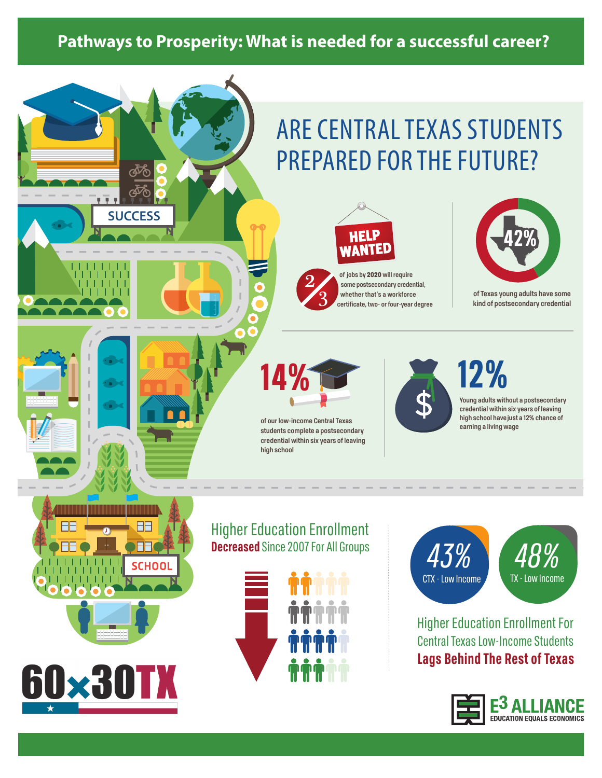# **Pathways to Prosperity: What is needed for a successful career?**

# ARE CENTRAL TEXAS STUDENTS PREPARED FOR THE FUTURE?



3 **of jobs by** 2020 **will require some postsecondary credential, whether that's a workforce certificate, two- or four-year degree**



2

**of our low-income Central Texas students complete a postsecondary credential within six years of leaving high school**



**12%**

**Young adults without a postsecondary credential within six years of leaving high school have just a 12% chance of earning a living wage**



**SUCCESS**

# Higher Education Enrollment **Decreased** Since 2007 For All Groups





Higher Education Enrollment For Central Texas Low-Income Students **Lags Behind The Rest of Texas**





**of Texas young adults have some kind of postsecondary credential**